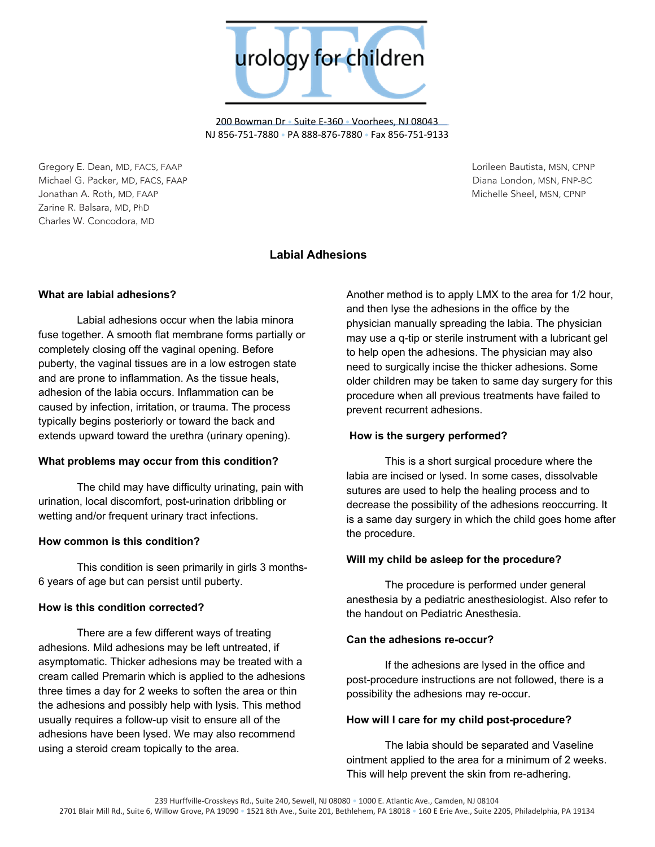

200 Bowman Dr • Suite E-360 • Voorhees, NJ 08043 NJ 856-751-7880 • PA 888-876-7880 • Fax 856-751-9133

Gregory E. Dean, MD, FACS, FAAP Lorileen Bautista, MSN, CPNP Michael G. Packer, MD, FACS, FAAP Diana London, MSN, FNP-BC Jonathan A. Roth, MD, FAAP Michelle Sheel, MSN, CPNP Zarine R. Balsara, MD, PhD Charles W. Concodora, MD

# **Labial Adhesions**

## **What are labial adhesions?**

Labial adhesions occur when the labia minora fuse together. A smooth flat membrane forms partially or completely closing off the vaginal opening. Before puberty, the vaginal tissues are in a low estrogen state and are prone to inflammation. As the tissue heals, adhesion of the labia occurs. Inflammation can be caused by infection, irritation, or trauma. The process typically begins posteriorly or toward the back and extends upward toward the urethra (urinary opening).

### **What problems may occur from this condition?**

The child may have difficulty urinating, pain with urination, local discomfort, post-urination dribbling or wetting and/or frequent urinary tract infections.

### **How common is this condition?**

This condition is seen primarily in girls 3 months-6 years of age but can persist until puberty.

### **How is this condition corrected?**

There are a few different ways of treating adhesions. Mild adhesions may be left untreated, if asymptomatic. Thicker adhesions may be treated with a cream called Premarin which is applied to the adhesions three times a day for 2 weeks to soften the area or thin the adhesions and possibly help with lysis. This method usually requires a follow-up visit to ensure all of the adhesions have been lysed. We may also recommend using a steroid cream topically to the area.

Another method is to apply LMX to the area for 1/2 hour, and then lyse the adhesions in the office by the physician manually spreading the labia. The physician may use a q-tip or sterile instrument with a lubricant gel to help open the adhesions. The physician may also need to surgically incise the thicker adhesions. Some older children may be taken to same day surgery for this procedure when all previous treatments have failed to prevent recurrent adhesions.

### **How is the surgery performed?**

This is a short surgical procedure where the labia are incised or lysed. In some cases, dissolvable sutures are used to help the healing process and to decrease the possibility of the adhesions reoccurring. It is a same day surgery in which the child goes home after the procedure.

### **Will my child be asleep for the procedure?**

The procedure is performed under general anesthesia by a pediatric anesthesiologist. Also refer to the handout on Pediatric Anesthesia.

### **Can the adhesions re-occur?**

If the adhesions are lysed in the office and post-procedure instructions are not followed, there is a possibility the adhesions may re-occur.

### **How will I care for my child post-procedure?**

The labia should be separated and Vaseline ointment applied to the area for a minimum of 2 weeks. This will help prevent the skin from re-adhering.